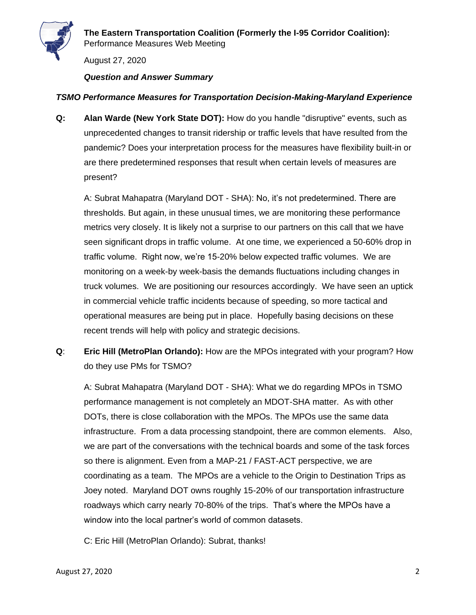

August 27, 2020

*Question and Answer Summary*

## *TSMO Performance Measures for Transportation Decision-Making-Maryland Experience*

**Q: Alan Warde (New York State DOT):** How do you handle "disruptive" events, such as unprecedented changes to transit ridership or traffic levels that have resulted from the pandemic? Does your interpretation process for the measures have flexibility built-in or are there predetermined responses that result when certain levels of measures are present?

A: Subrat Mahapatra (Maryland DOT - SHA): No, it's not predetermined. There are thresholds. But again, in these unusual times, we are monitoring these performance metrics very closely. It is likely not a surprise to our partners on this call that we have seen significant drops in traffic volume. At one time, we experienced a 50-60% drop in traffic volume. Right now, we're 15-20% below expected traffic volumes. We are monitoring on a week-by week-basis the demands fluctuations including changes in truck volumes. We are positioning our resources accordingly. We have seen an uptick in commercial vehicle traffic incidents because of speeding, so more tactical and operational measures are being put in place. Hopefully basing decisions on these recent trends will help with policy and strategic decisions.

**Q**: **Eric Hill (MetroPlan Orlando):** How are the MPOs integrated with your program? How do they use PMs for TSMO?

A: Subrat Mahapatra (Maryland DOT - SHA): What we do regarding MPOs in TSMO performance management is not completely an MDOT-SHA matter. As with other DOTs, there is close collaboration with the MPOs. The MPOs use the same data infrastructure. From a data processing standpoint, there are common elements. Also, we are part of the conversations with the technical boards and some of the task forces so there is alignment. Even from a MAP-21 / FAST-ACT perspective, we are coordinating as a team. The MPOs are a vehicle to the Origin to Destination Trips as Joey noted. Maryland DOT owns roughly 15-20% of our transportation infrastructure roadways which carry nearly 70-80% of the trips. That's where the MPOs have a window into the local partner's world of common datasets.

C: Eric Hill (MetroPlan Orlando): Subrat, thanks!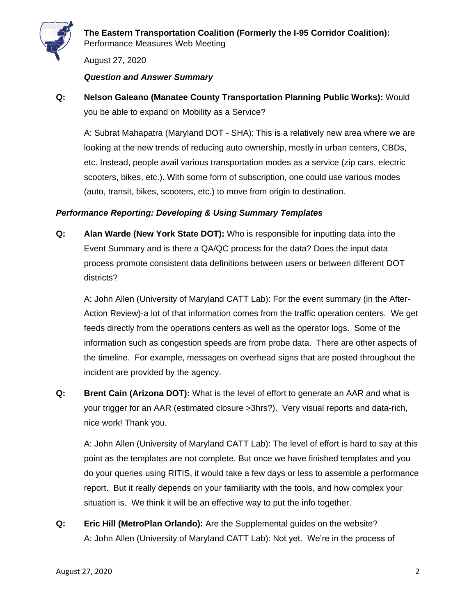

August 27, 2020

#### *Question and Answer Summary*

**Q: Nelson Galeano (Manatee County Transportation Planning Public Works):** Would you be able to expand on Mobility as a Service?

A: Subrat Mahapatra (Maryland DOT - SHA): This is a relatively new area where we are looking at the new trends of reducing auto ownership, mostly in urban centers, CBDs, etc. Instead, people avail various transportation modes as a service (zip cars, electric scooters, bikes, etc.). With some form of subscription, one could use various modes (auto, transit, bikes, scooters, etc.) to move from origin to destination.

## *Performance Reporting: Developing & Using Summary Templates*

**Q: Alan Warde (New York State DOT):** Who is responsible for inputting data into the Event Summary and is there a QA/QC process for the data? Does the input data process promote consistent data definitions between users or between different DOT districts?

A: John Allen (University of Maryland CATT Lab): For the event summary (in the After-Action Review)-a lot of that information comes from the traffic operation centers. We get feeds directly from the operations centers as well as the operator logs. Some of the information such as congestion speeds are from probe data. There are other aspects of the timeline. For example, messages on overhead signs that are posted throughout the incident are provided by the agency.

**Q: Brent Cain (Arizona DOT):** What is the level of effort to generate an AAR and what is your trigger for an AAR (estimated closure >3hrs?). Very visual reports and data-rich, nice work! Thank you.

A: John Allen (University of Maryland CATT Lab): The level of effort is hard to say at this point as the templates are not complete. But once we have finished templates and you do your queries using RITIS, it would take a few days or less to assemble a performance report. But it really depends on your familiarity with the tools, and how complex your situation is. We think it will be an effective way to put the info together.

**Q: Eric Hill (MetroPlan Orlando):** Are the Supplemental guides on the website? A: John Allen (University of Maryland CATT Lab): Not yet. We're in the process of